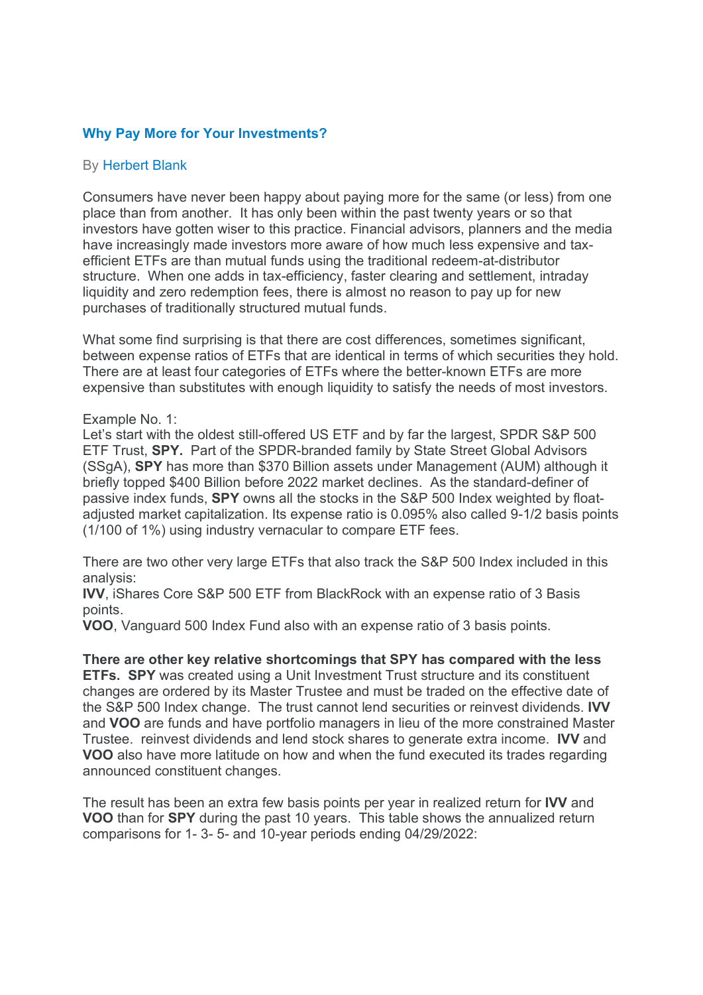# Why Pay More for Your Investments?

## By Herbert Blank

Consumers have never been happy about paying more for the same (or less) from one place than from another. It has only been within the past twenty years or so that investors have gotten wiser to this practice. Financial advisors, planners and the media have increasingly made investors more aware of how much less expensive and taxefficient ETFs are than mutual funds using the traditional redeem-at-distributor structure. When one adds in tax-efficiency, faster clearing and settlement, intraday liquidity and zero redemption fees, there is almost no reason to pay up for new purchases of traditionally structured mutual funds.

What some find surprising is that there are cost differences, sometimes significant, between expense ratios of ETFs that are identical in terms of which securities they hold. There are at least four categories of ETFs where the better-known ETFs are more expensive than substitutes with enough liquidity to satisfy the needs of most investors.

#### Example No. 1:

Let's start with the oldest still-offered US ETF and by far the largest, SPDR S&P 500 ETF Trust, SPY. Part of the SPDR-branded family by State Street Global Advisors (SSgA), SPY has more than \$370 Billion assets under Management (AUM) although it briefly topped \$400 Billion before 2022 market declines. As the standard-definer of passive index funds, SPY owns all the stocks in the S&P 500 Index weighted by floatadjusted market capitalization. Its expense ratio is 0.095% also called 9-1/2 basis points (1/100 of 1%) using industry vernacular to compare ETF fees.

There are two other very large ETFs that also track the S&P 500 Index included in this analysis:

IVV, iShares Core S&P 500 ETF from BlackRock with an expense ratio of 3 Basis points.

VOO, Vanguard 500 Index Fund also with an expense ratio of 3 basis points.

There are other key relative shortcomings that SPY has compared with the less ETFs. SPY was created using a Unit Investment Trust structure and its constituent changes are ordered by its Master Trustee and must be traded on the effective date of the S&P 500 Index change. The trust cannot lend securities or reinvest dividends. IVV and VOO are funds and have portfolio managers in lieu of the more constrained Master Trustee. reinvest dividends and lend stock shares to generate extra income. IVV and VOO also have more latitude on how and when the fund executed its trades regarding announced constituent changes.

The result has been an extra few basis points per year in realized return for **IVV** and VOO than for SPY during the past 10 years. This table shows the annualized return comparisons for 1- 3- 5- and 10-year periods ending 04/29/2022: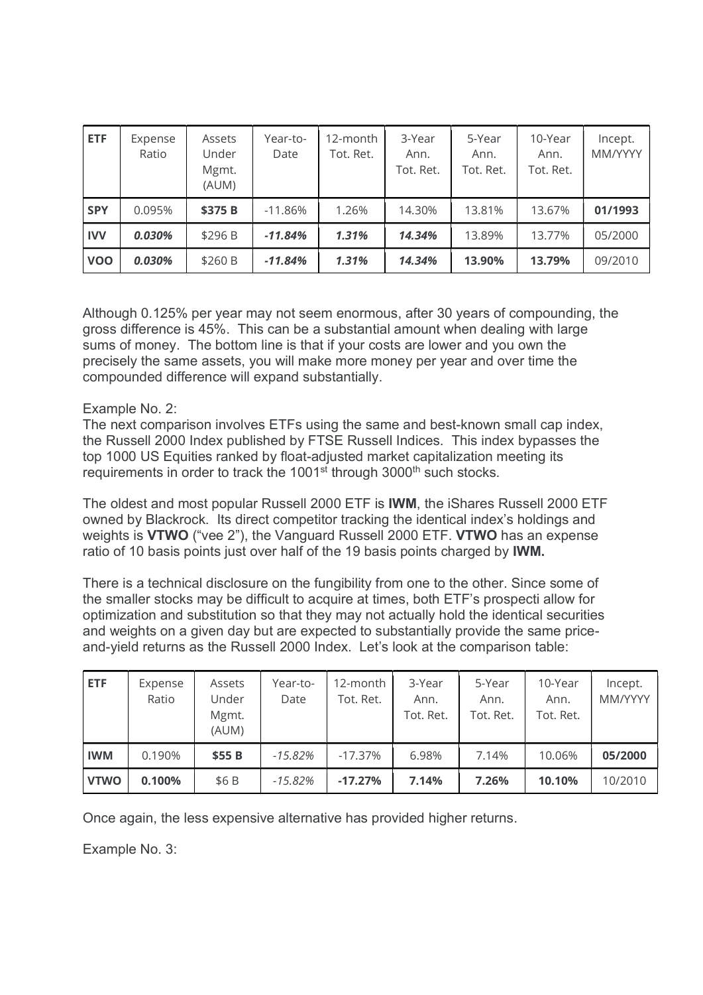| <b>ETF</b> | Expense<br>Ratio | Assets<br>Under<br>Mgmt.<br>(AUM) | Year-to-<br>Date | 12-month<br>Tot. Ret. | 3-Year<br>Ann.<br>Tot. Ret. | 5-Year<br>Ann.<br>Tot. Ret. | 10-Year<br>Ann.<br>Tot. Ret. | Incept.<br>MM/YYYY |
|------------|------------------|-----------------------------------|------------------|-----------------------|-----------------------------|-----------------------------|------------------------------|--------------------|
| <b>SPY</b> | 0.095%           | \$375 B                           | $-11.86%$        | 1.26%                 | 14.30%                      | 13.81%                      | 13.67%                       | 01/1993            |
| <b>IVV</b> | 0.030%           | \$296 B                           | $-11.84%$        | 1.31%                 | 14.34%                      | 13.89%                      | 13.77%                       | 05/2000            |
| <b>VOO</b> | 0.030%           | \$260 B                           | $-11.84%$        | 1.31%                 | 14.34%                      | 13.90%                      | 13.79%                       | 09/2010            |

Although 0.125% per year may not seem enormous, after 30 years of compounding, the gross difference is 45%. This can be a substantial amount when dealing with large sums of money. The bottom line is that if your costs are lower and you own the precisely the same assets, you will make more money per year and over time the compounded difference will expand substantially.

# Example No. 2:

The next comparison involves ETFs using the same and best-known small cap index, the Russell 2000 Index published by FTSE Russell Indices. This index bypasses the top 1000 US Equities ranked by float-adjusted market capitalization meeting its requirements in order to track the 1001<sup>st</sup> through 3000<sup>th</sup> such stocks.

The oldest and most popular Russell 2000 ETF is IWM, the iShares Russell 2000 ETF owned by Blackrock. Its direct competitor tracking the identical index's holdings and weights is VTWO ("vee 2"), the Vanguard Russell 2000 ETF. VTWO has an expense ratio of 10 basis points just over half of the 19 basis points charged by IWM.

There is a technical disclosure on the fungibility from one to the other. Since some of the smaller stocks may be difficult to acquire at times, both ETF's prospecti allow for optimization and substitution so that they may not actually hold the identical securities and weights on a given day but are expected to substantially provide the same priceand-yield returns as the Russell 2000 Index. Let's look at the comparison table:

| <b>ETF</b>  | Expense<br>Ratio | Assets<br>Under<br>Mgmt.<br>(AUM) | Year-to-<br>Date | 12-month<br>Tot. Ret. | 3-Year<br>Ann.<br>Tot. Ret. | 5-Year<br>Ann.<br>Tot. Ret. | 10-Year<br>Ann.<br>Tot. Ret. | Incept.<br>MM/YYYY |
|-------------|------------------|-----------------------------------|------------------|-----------------------|-----------------------------|-----------------------------|------------------------------|--------------------|
| <b>IWM</b>  | 0.190%           | \$55 B                            | $-15.82\%$       | $-17.37\%$            | 6.98%                       | 7.14%                       | 10.06%                       | 05/2000            |
| <b>VTWO</b> | 0.100%           | \$6B                              | $-15.82%$        | $-17.27%$             | 7.14%                       | 7.26%                       | 10.10%                       | 10/2010            |

Once again, the less expensive alternative has provided higher returns.

Example No. 3: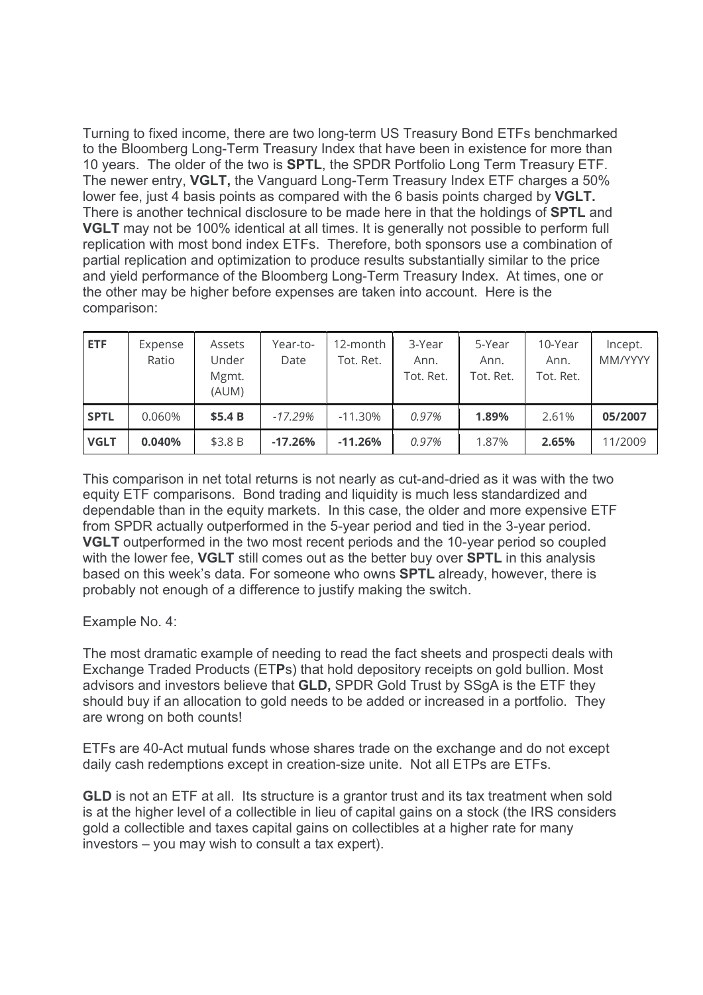Turning to fixed income, there are two long-term US Treasury Bond ETFs benchmarked to the Bloomberg Long-Term Treasury Index that have been in existence for more than 10 years. The older of the two is SPTL, the SPDR Portfolio Long Term Treasury ETF. The newer entry, VGLT, the Vanguard Long-Term Treasury Index ETF charges a 50% lower fee, just 4 basis points as compared with the 6 basis points charged by VGLT. There is another technical disclosure to be made here in that the holdings of **SPTL** and VGLT may not be 100% identical at all times. It is generally not possible to perform full replication with most bond index ETFs. Therefore, both sponsors use a combination of partial replication and optimization to produce results substantially similar to the price and yield performance of the Bloomberg Long-Term Treasury Index. At times, one or the other may be higher before expenses are taken into account. Here is the comparison:

| <b>ETF</b>  | Expense<br>Ratio | Assets<br>Under<br>Mgmt.<br>(AUM) | Year-to-<br>Date | 12-month<br>Tot. Ret. | 3-Year<br>Ann.<br>Tot. Ret. | 5-Year<br>Ann.<br>Tot. Ret. | 10-Year<br>Ann.<br>Tot. Ret. | Incept.<br>MM/YYYY |
|-------------|------------------|-----------------------------------|------------------|-----------------------|-----------------------------|-----------------------------|------------------------------|--------------------|
| <b>SPTL</b> | 0.060%           | \$5.4B                            | $-17.29%$        | $-11.30%$             | 0.97%                       | 1.89%                       | 2.61%                        | 05/2007            |
| <b>VGLT</b> | 0.040%           | \$3.8 B                           | $-17.26%$        | $-11.26%$             | 0.97%                       | 1.87%                       | 2.65%                        | 11/2009            |

This comparison in net total returns is not nearly as cut-and-dried as it was with the two equity ETF comparisons. Bond trading and liquidity is much less standardized and dependable than in the equity markets. In this case, the older and more expensive ETF from SPDR actually outperformed in the 5-year period and tied in the 3-year period. VGLT outperformed in the two most recent periods and the 10-year period so coupled with the lower fee, **VGLT** still comes out as the better buy over **SPTL** in this analysis based on this week's data. For someone who owns SPTL already, however, there is probably not enough of a difference to justify making the switch.

Example No. 4:

The most dramatic example of needing to read the fact sheets and prospecti deals with Exchange Traded Products (ETPs) that hold depository receipts on gold bullion. Most advisors and investors believe that GLD, SPDR Gold Trust by SSgA is the ETF they should buy if an allocation to gold needs to be added or increased in a portfolio. They are wrong on both counts!

ETFs are 40-Act mutual funds whose shares trade on the exchange and do not except daily cash redemptions except in creation-size unite. Not all ETPs are ETFs.

GLD is not an ETF at all. Its structure is a grantor trust and its tax treatment when sold is at the higher level of a collectible in lieu of capital gains on a stock (the IRS considers gold a collectible and taxes capital gains on collectibles at a higher rate for many investors – you may wish to consult a tax expert).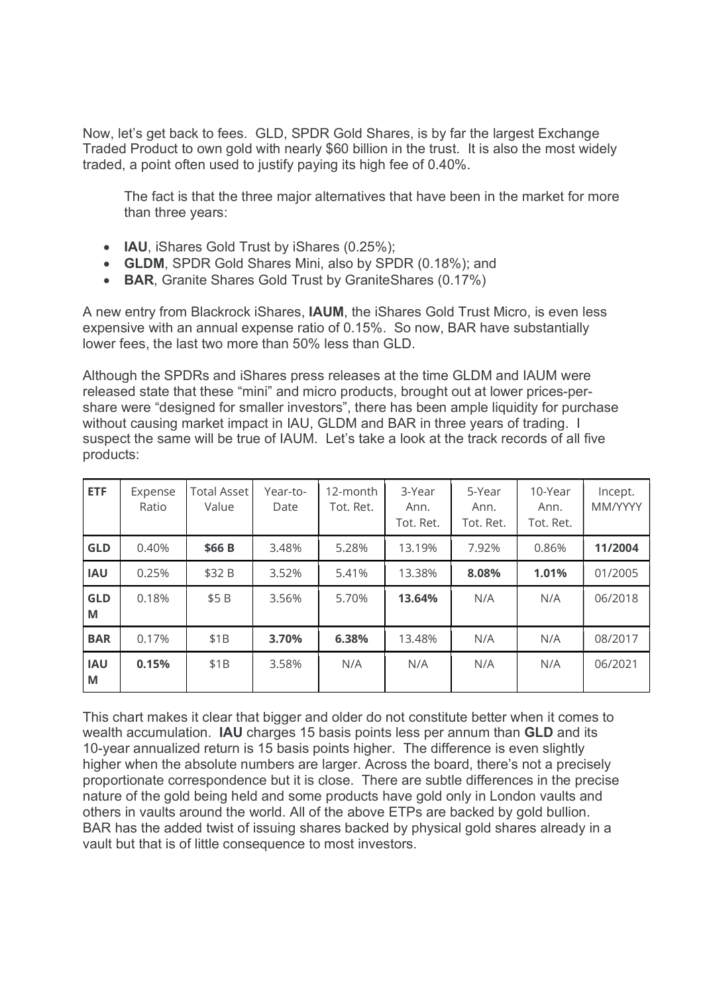Now, let's get back to fees. GLD, SPDR Gold Shares, is by far the largest Exchange Traded Product to own gold with nearly \$60 billion in the trust. It is also the most widely traded, a point often used to justify paying its high fee of 0.40%.

The fact is that the three major alternatives that have been in the market for more than three years:

- IAU, iShares Gold Trust by iShares (0.25%);
- GLDM, SPDR Gold Shares Mini, also by SPDR (0.18%); and
- BAR, Granite Shares Gold Trust by GraniteShares (0.17%)

A new entry from Blackrock iShares, IAUM, the iShares Gold Trust Micro, is even less expensive with an annual expense ratio of 0.15%. So now, BAR have substantially lower fees, the last two more than 50% less than GLD.

Although the SPDRs and iShares press releases at the time GLDM and IAUM were released state that these "mini" and micro products, brought out at lower prices-pershare were "designed for smaller investors", there has been ample liquidity for purchase without causing market impact in IAU, GLDM and BAR in three years of trading. I suspect the same will be true of IAUM. Let's take a look at the track records of all five products:

| <b>ETF</b>      | Expense<br>Ratio | <b>Total Asset</b><br>Value | Year-to-<br>Date | 12-month<br>Tot. Ret. | 3-Year<br>Ann.<br>Tot. Ret. | 5-Year<br>Ann.<br>Tot. Ret. | 10-Year<br>Ann.<br>Tot. Ret. | Incept.<br><b>MM/YYYY</b> |
|-----------------|------------------|-----------------------------|------------------|-----------------------|-----------------------------|-----------------------------|------------------------------|---------------------------|
| <b>GLD</b>      | 0.40%            | \$66 B                      | 3.48%            | 5.28%                 | 13.19%                      | 7.92%                       | 0.86%                        | 11/2004                   |
| <b>IAU</b>      | 0.25%            | \$32 B                      | 3.52%            | 5.41%                 | 13.38%                      | 8.08%                       | 1.01%                        | 01/2005                   |
| <b>GLD</b><br>M | 0.18%            | \$5 <sub>B</sub>            | 3.56%            | 5.70%                 | 13.64%                      | N/A                         | N/A                          | 06/2018                   |
| <b>BAR</b>      | 0.17%            | \$1B                        | 3.70%            | 6.38%                 | 13.48%                      | N/A                         | N/A                          | 08/2017                   |
| <b>IAU</b><br>M | 0.15%            | \$1B                        | 3.58%            | N/A                   | N/A                         | N/A                         | N/A                          | 06/2021                   |

This chart makes it clear that bigger and older do not constitute better when it comes to wealth accumulation. **IAU** charges 15 basis points less per annum than **GLD** and its 10-year annualized return is 15 basis points higher. The difference is even slightly higher when the absolute numbers are larger. Across the board, there's not a precisely proportionate correspondence but it is close. There are subtle differences in the precise nature of the gold being held and some products have gold only in London vaults and others in vaults around the world. All of the above ETPs are backed by gold bullion. BAR has the added twist of issuing shares backed by physical gold shares already in a vault but that is of little consequence to most investors.